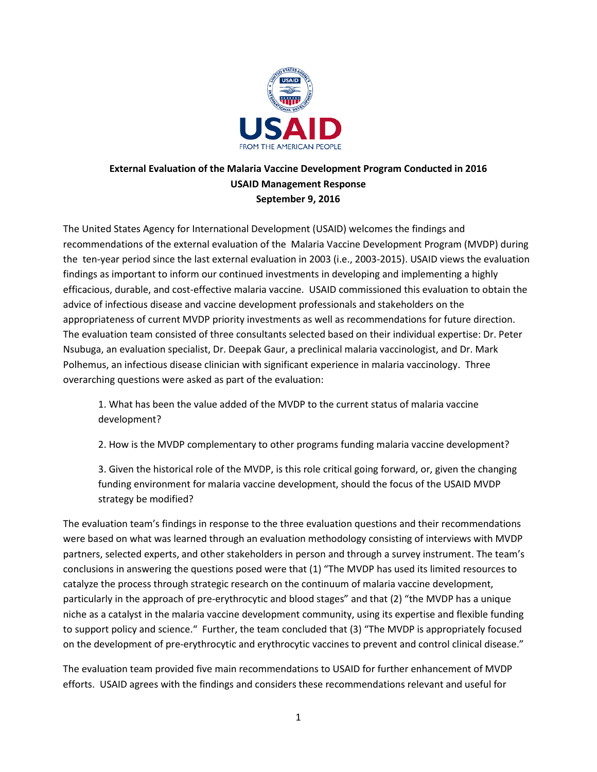

## **External Evaluation of the Malaria Vaccine Development Program Conducted in 2016 USAID Management Response September 9, 2016**

The United States Agency for International Development (USAID) welcomes the findings and recommendations of the external evaluation of the Malaria Vaccine Development Program (MVDP) during the ten-year period since the last external evaluation in 2003 (i.e., 2003-2015). USAID views the evaluation findings as important to inform our continued investments in developing and implementing a highly efficacious, durable, and cost-effective malaria vaccine. USAID commissioned this evaluation to obtain the advice of infectious disease and vaccine development professionals and stakeholders on the appropriateness of current MVDP priority investments as well as recommendations for future direction. The evaluation team consisted of three consultants selected based on their individual expertise: Dr. Peter Nsubuga, an evaluation specialist, Dr. Deepak Gaur, a preclinical malaria vaccinologist, and Dr. Mark Polhemus, an infectious disease clinician with significant experience in malaria vaccinology. Three overarching questions were asked as part of the evaluation:

1. What has been the value added of the MVDP to the current status of malaria vaccine development?

2. How is the MVDP complementary to other programs funding malaria vaccine development?

3. Given the historical role of the MVDP, is this role critical going forward, or, given the changing funding environment for malaria vaccine development, should the focus of the USAID MVDP strategy be modified?

The evaluation team's findings in response to the three evaluation questions and their recommendations were based on what was learned through an evaluation methodology consisting of interviews with MVDP partners, selected experts, and other stakeholders in person and through a survey instrument. The team's conclusions in answering the questions posed were that (1) "The MVDP has used its limited resources to catalyze the process through strategic research on the continuum of malaria vaccine development, particularly in the approach of pre-erythrocytic and blood stages" and that (2) "the MVDP has a unique niche as a catalyst in the malaria vaccine development community, using its expertise and flexible funding to support policy and science." Further, the team concluded that (3) "The MVDP is appropriately focused on the development of pre-erythrocytic and erythrocytic vaccines to prevent and control clinical disease."

The evaluation team provided five main recommendations to USAID for further enhancement of MVDP efforts. USAID agrees with the findings and considers these recommendations relevant and useful for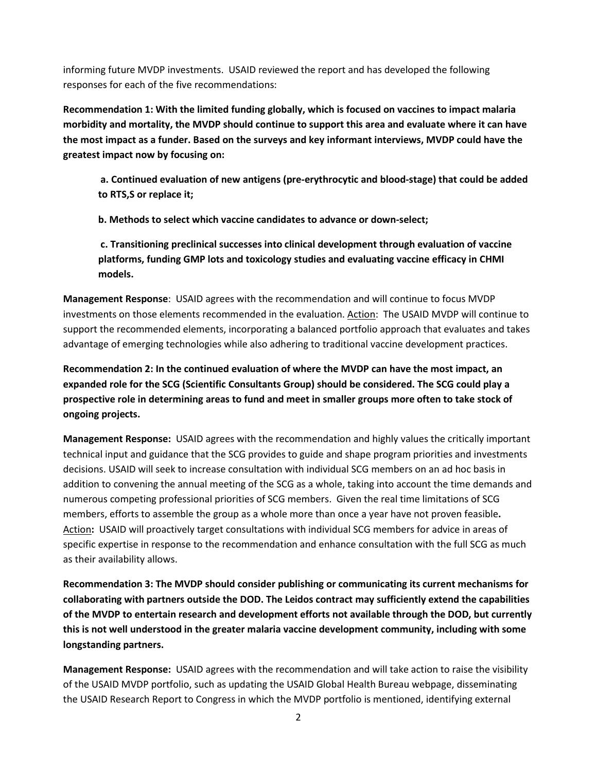informing future MVDP investments. USAID reviewed the report and has developed the following responses for each of the five recommendations:

**Recommendation 1: With the limited funding globally, which is focused on vaccines to impact malaria morbidity and mortality, the MVDP should continue to support this area and evaluate where it can have the most impact as a funder. Based on the surveys and key informant interviews, MVDP could have the greatest impact now by focusing on:** 

**a. Continued evaluation of new antigens (pre-erythrocytic and blood-stage) that could be added to RTS,S or replace it;**

**b. Methods to select which vaccine candidates to advance or down-select;**

**c. Transitioning preclinical successes into clinical development through evaluation of vaccine platforms, funding GMP lots and toxicology studies and evaluating vaccine efficacy in CHMI models.**

**Management Response**: USAID agrees with the recommendation and will continue to focus MVDP investments on those elements recommended in the evaluation. Action: The USAID MVDP will continue to support the recommended elements, incorporating a balanced portfolio approach that evaluates and takes advantage of emerging technologies while also adhering to traditional vaccine development practices.

**Recommendation 2: In the continued evaluation of where the MVDP can have the most impact, an expanded role for the SCG (Scientific Consultants Group) should be considered. The SCG could play a prospective role in determining areas to fund and meet in smaller groups more often to take stock of ongoing projects.** 

**Management Response:** USAID agrees with the recommendation and highly values the critically important technical input and guidance that the SCG provides to guide and shape program priorities and investments decisions. USAID will seek to increase consultation with individual SCG members on an ad hoc basis in addition to convening the annual meeting of the SCG as a whole, taking into account the time demands and numerous competing professional priorities of SCG members. Given the real time limitations of SCG members, efforts to assemble the group as a whole more than once a year have not proven feasible**.** Action**:** USAID will proactively target consultations with individual SCG members for advice in areas of specific expertise in response to the recommendation and enhance consultation with the full SCG as much as their availability allows.

**Recommendation 3: The MVDP should consider publishing or communicating its current mechanisms for collaborating with partners outside the DOD. The Leidos contract may sufficiently extend the capabilities of the MVDP to entertain research and development efforts not available through the DOD, but currently this is not well understood in the greater malaria vaccine development community, including with some longstanding partners.** 

**Management Response:** USAID agrees with the recommendation and will take action to raise the visibility of the USAID MVDP portfolio, such as updating the USAID Global Health Bureau webpage, disseminating the USAID Research Report to Congress in which the MVDP portfolio is mentioned, identifying external